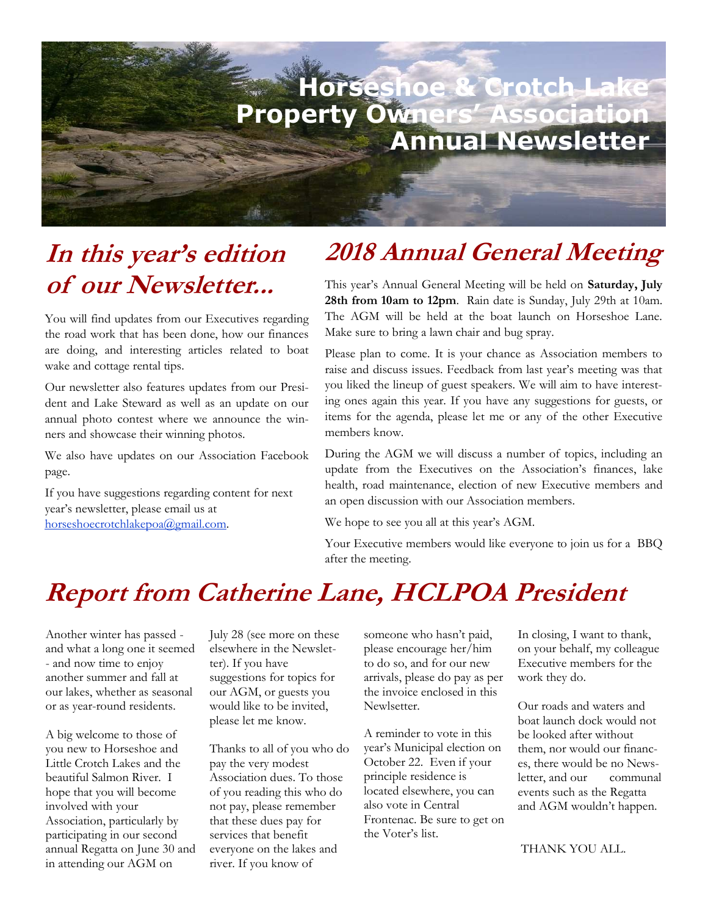

### **In this year's edition of our Newsletter...**

You will find updates from our Executives regarding the road work that has been done, how our finances are doing, and interesting articles related to boat wake and cottage rental tips.

Our newsletter also features updates from our President and Lake Steward as well as an update on our annual photo contest where we announce the winners and showcase their winning photos.

We also have updates on our Association Facebook page.

If you have suggestions regarding content for next year's newsletter, please email us at horseshoecrotchlakepoa@gmail.com.

### **2018 Annual General Meeting**

This year's Annual General Meeting will be held on **Saturday, July 28th from 10am to 12pm**. Rain date is Sunday, July 29th at 10am. The AGM will be held at the boat launch on Horseshoe Lane. Make sure to bring a lawn chair and bug spray.

Please plan to come. It is your chance as Association members to raise and discuss issues. Feedback from last year's meeting was that you liked the lineup of guest speakers. We will aim to have interesting ones again this year. If you have any suggestions for guests, or items for the agenda, please let me or any of the other Executive members know.

During the AGM we will discuss a number of topics, including an update from the Executives on the Association's finances, lake health, road maintenance, election of new Executive members and an open discussion with our Association members.

We hope to see you all at this year's AGM.

Your Executive members would like everyone to join us for a BBQ after the meeting.

### **Report from Catherine Lane, HCLPOA President**

Another winter has passed and what a long one it seemed - and now time to enjoy another summer and fall at our lakes, whether as seasonal or as year-round residents.

A big welcome to those of you new to Horseshoe and Little Crotch Lakes and the beautiful Salmon River. I hope that you will become involved with your Association, particularly by participating in our second annual Regatta on June 30 and in attending our AGM on

July 28 (see more on these elsewhere in the Newsletter). If you have suggestions for topics for our AGM, or guests you would like to be invited, please let me know.

Thanks to all of you who do pay the very modest Association dues. To those of you reading this who do not pay, please remember that these dues pay for services that benefit everyone on the lakes and river. If you know of

someone who hasn't paid, please encourage her/him to do so, and for our new arrivals, please do pay as per the invoice enclosed in this Newlsetter.

A reminder to vote in this year's Municipal election on October 22. Even if your principle residence is located elsewhere, you can also vote in Central Frontenac. Be sure to get on the Voter's list.

In closing, I want to thank, on your behalf, my colleague Executive members for the work they do.

Our roads and waters and boat launch dock would not be looked after without them, nor would our finances, there would be no Newsletter, and our communal events such as the Regatta and AGM wouldn't happen.

THANK YOU ALL.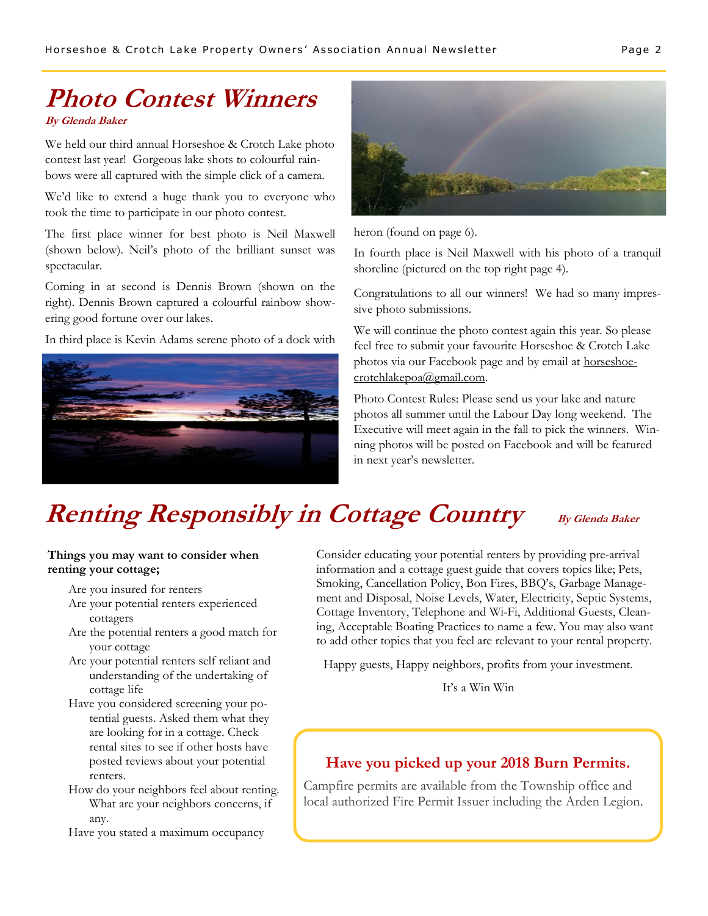# **Photo Contest Winners**

**By Glenda Baker** 

We held our third annual Horseshoe & Crotch Lake photo contest last year! Gorgeous lake shots to colourful rainbows were all captured with the simple click of a camera.

We'd like to extend a huge thank you to everyone who took the time to participate in our photo contest.

The first place winner for best photo is Neil Maxwell (shown below). Neil's photo of the brilliant sunset was spectacular.

Coming in at second is Dennis Brown (shown on the right). Dennis Brown captured a colourful rainbow showering good fortune over our lakes.

In third place is Kevin Adams serene photo of a dock with





heron (found on page 6).

In fourth place is Neil Maxwell with his photo of a tranquil shoreline (pictured on the top right page 4).

Congratulations to all our winners! We had so many impressive photo submissions.

We will continue the photo contest again this year. So please feel free to submit your favourite Horseshoe & Crotch Lake photos via our Facebook page and by email at horseshoecrotchlakepoa@gmail.com.

Photo Contest Rules: Please send us your lake and nature photos all summer until the Labour Day long weekend. The Executive will meet again in the fall to pick the winners. Winning photos will be posted on Facebook and will be featured in next year's newsletter.

## **Renting Responsibly in Cottage Country** By Glenda Baker

#### **Things you may want to consider when renting your cottage;**

Are you insured for renters

- Are your potential renters experienced cottagers
- Are the potential renters a good match for your cottage
- Are your potential renters self reliant and understanding of the undertaking of cottage life
- Have you considered screening your potential guests. Asked them what they are looking for in a cottage. Check rental sites to see if other hosts have posted reviews about your potential renters.
- How do your neighbors feel about renting. What are your neighbors concerns, if any.

Have you stated a maximum occupancy

Consider educating your potential renters by providing pre-arrival information and a cottage guest guide that covers topics like; Pets, Smoking, Cancellation Policy, Bon Fires, BBQ's, Garbage Management and Disposal, Noise Levels, Water, Electricity, Septic Systems, Cottage Inventory, Telephone and Wi-Fi, Additional Guests, Cleaning, Acceptable Boating Practices to name a few. You may also want to add other topics that you feel are relevant to your rental property.

Happy guests, Happy neighbors, profits from your investment.

It's a Win Win

#### **Have you picked up your 2018 Burn Permits.**

Campfire permits are available from the Township office and local authorized Fire Permit Issuer including the Arden Legion.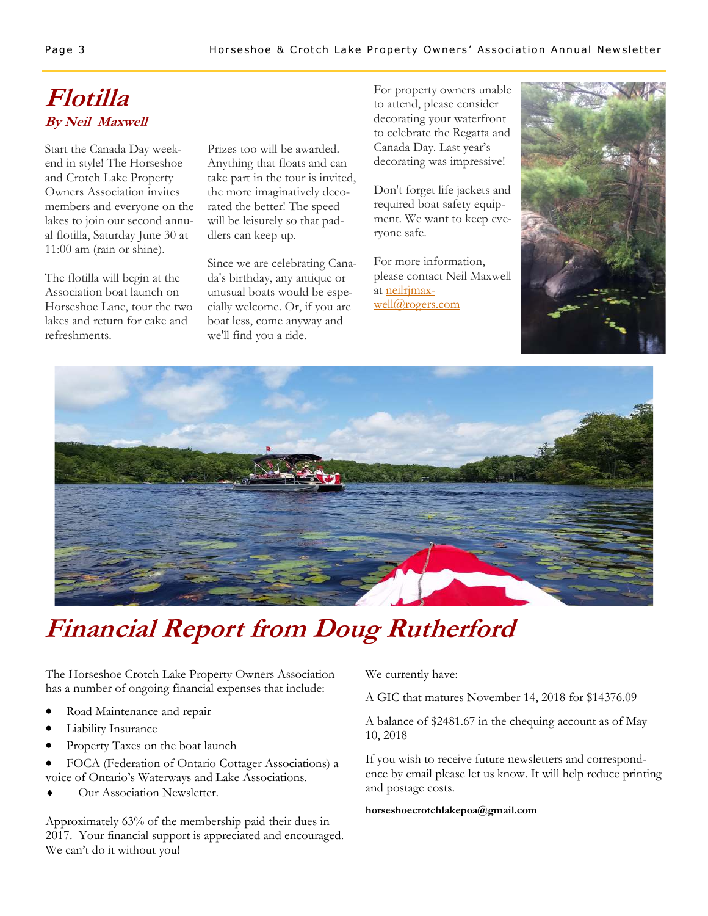### **Flotilla By Neil Maxwell**

Start the Canada Day weekend in style! The Horseshoe and Crotch Lake Property Owners Association invites members and everyone on the lakes to join our second annual flotilla, Saturday June 30 at 11:00 am (rain or shine).

The flotilla will begin at the Association boat launch on Horseshoe Lane, tour the two lakes and return for cake and refreshments.

Prizes too will be awarded. Anything that floats and can take part in the tour is invited, the more imaginatively decorated the better! The speed will be leisurely so that paddlers can keep up.

Since we are celebrating Canada's birthday, any antique or unusual boats would be especially welcome. Or, if you are boat less, come anyway and we'll find you a ride.

For property owners unable to attend, please consider decorating your waterfront to celebrate the Regatta and Canada Day. Last year's decorating was impressive!

Don't forget life jackets and required boat safety equipment. We want to keep everyone safe.

For more information, please contact Neil Maxwell at neilrimax[well@rogers.com](mailto:neilrjmaxwell@rogers.com)





## **Financial Report from Doug Rutherford**

The Horseshoe Crotch Lake Property Owners Association has a number of ongoing financial expenses that include:

- Road Maintenance and repair
- Liability Insurance
- Property Taxes on the boat launch
- FOCA (Federation of Ontario Cottager Associations) a voice of Ontario's Waterways and Lake Associations.
- Our Association Newsletter.

Approximately 63% of the membership paid their dues in 2017. Your financial support is appreciated and encouraged. We can't do it without you!

We currently have:

A GIC that matures November 14, 2018 for \$14376.09

A balance of \$2481.67 in the chequing account as of May 10, 2018

If you wish to receive future newsletters and correspondence by email please let us know. It will help reduce printing and postage costs.

#### **[horseshoecrotchlakepoa@gmail.com](mailto:horseshoecrotchlakepoa@gmail.com)**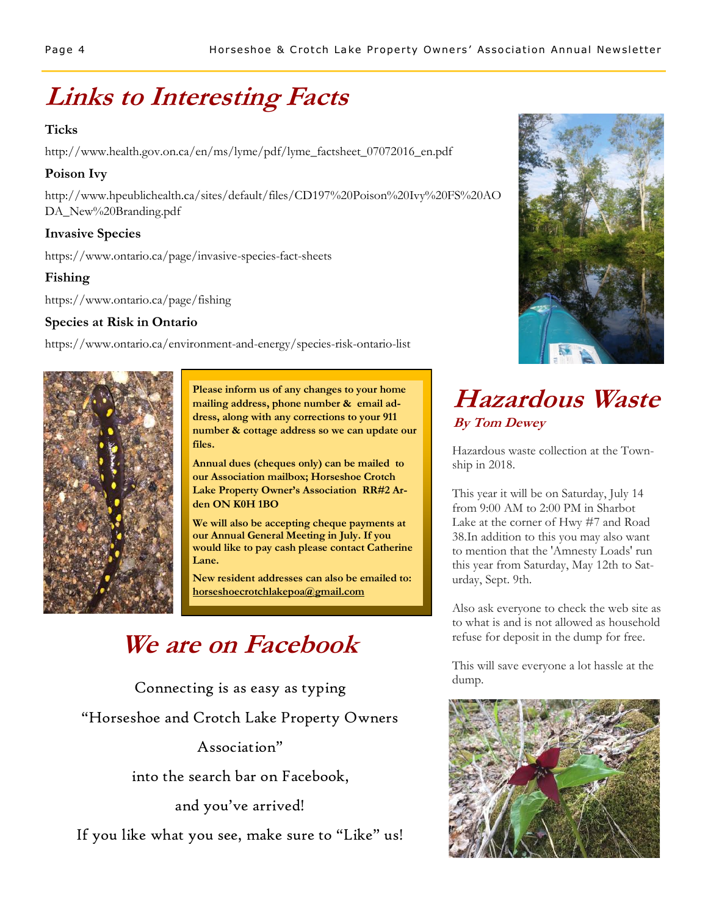## **Links to Interesting Facts**

#### **Ticks**

http://www.health.gov.on.ca/en/ms/lyme/pdf/lyme\_factsheet\_07072016\_en.pdf

#### **Poison Ivy**

http://www.hpeublichealth.ca/sites/default/files/CD197%20Poison%20Ivy%20FS%20AO DA\_New%20Branding.pdf

#### **Invasive Species**

https://www.ontario.ca/page/invasive-species-fact-sheets

#### **Fishing**

https://www.ontario.ca/page/fishing

#### **Species at Risk in Ontario**

https://www.ontario.ca/environment-and-energy/species-risk-ontario-list



**Please inform us of any changes to your home mailing address, phone number & email address, along with any corrections to your 911 number & cottage address so we can update our files.** 

**Annual dues (cheques only) can be mailed to our Association mailbox; Horseshoe Crotch Lake Property Owner's Association RR#2 Arden ON K0H 1BO** 

**We will also be accepting cheque payments at our Annual General Meeting in July. If you would like to pay cash please contact Catherine Lane.** 

**New resident addresses can also be emailed to: [horseshoecrotchlakepoa@gmail.com](mailto:horseshoecrotchlakepoa@gmail.com)** 

### **We are on Facebook**

Connecting is as easy as typing "Horseshoe and Crotch Lake Property Owners Association"

into the search bar on Facebook,

and you've arrived!

If you like what you see, make sure to "Like" us!



### **Hazardous Waste By Tom Dewey**

Hazardous waste collection at the Township in 2018.

This year it will be on Saturday, July 14 from 9:00 AM to 2:00 PM in Sharbot Lake at the corner of Hwy #7 and Road 38.In addition to this you may also want to mention that the 'Amnesty Loads' run this year from Saturday, May 12th to Saturday, Sept. 9th.

Also ask everyone to check the web site as to what is and is not allowed as household refuse for deposit in the dump for free.

This will save everyone a lot hassle at the dump.

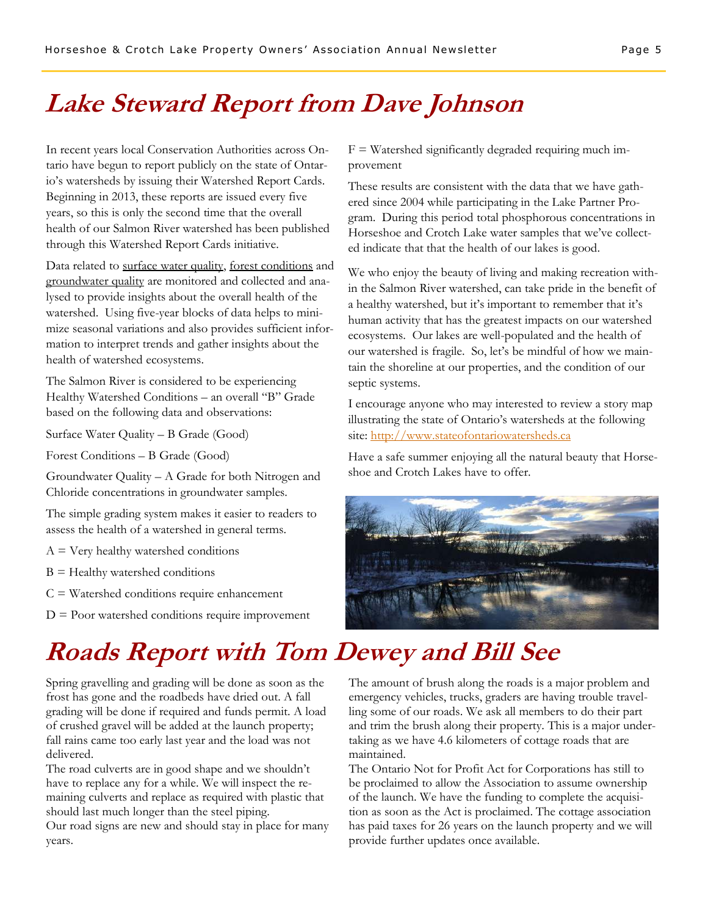### **Lake Steward Report from Dave Johnson**

In recent years local Conservation Authorities across Ontario have begun to report publicly on the state of Ontario's watersheds by issuing their Watershed Report Cards. Beginning in 2013, these reports are issued every five years, so this is only the second time that the overall health of our Salmon River watershed has been published through this Watershed Report Cards initiative.

Data related to surface water quality, forest conditions and groundwater quality are monitored and collected and analysed to provide insights about the overall health of the watershed. Using five-year blocks of data helps to minimize seasonal variations and also provides sufficient information to interpret trends and gather insights about the health of watershed ecosystems.

The Salmon River is considered to be experiencing Healthy Watershed Conditions – an overall "B" Grade based on the following data and observations:

Surface Water Quality – B Grade (Good)

Forest Conditions – B Grade (Good)

Groundwater Quality – A Grade for both Nitrogen and Chloride concentrations in groundwater samples.

The simple grading system makes it easier to readers to assess the health of a watershed in general terms.

 $A = V$ ery healthy watershed conditions

 $B =$  Healthy watershed conditions

 $C = W \text{atershed conditions require enhancement}$ 

 $D =$  Poor watershed conditions require improvement

 $F = W \text{atershed significantly degraded requiring much im-}$ provement

These results are consistent with the data that we have gathered since 2004 while participating in the Lake Partner Program. During this period total phosphorous concentrations in Horseshoe and Crotch Lake water samples that we've collected indicate that that the health of our lakes is good.

We who enjoy the beauty of living and making recreation within the Salmon River watershed, can take pride in the benefit of a healthy watershed, but it's important to remember that it's human activity that has the greatest impacts on our watershed ecosystems. Our lakes are well-populated and the health of our watershed is fragile. So, let's be mindful of how we maintain the shoreline at our properties, and the condition of our septic systems.

I encourage anyone who may interested to review a story map illustrating the state of Ontario's watersheds at the following site: <http://www.stateofontariowatersheds.ca>

Have a safe summer enjoying all the natural beauty that Horseshoe and Crotch Lakes have to offer.



### **Roads Report with Tom Dewey and Bill See**

Spring gravelling and grading will be done as soon as the frost has gone and the roadbeds have dried out. A fall grading will be done if required and funds permit. A load of crushed gravel will be added at the launch property; fall rains came too early last year and the load was not delivered.

The road culverts are in good shape and we shouldn't have to replace any for a while. We will inspect the remaining culverts and replace as required with plastic that should last much longer than the steel piping.

Our road signs are new and should stay in place for many years.

The amount of brush along the roads is a major problem and emergency vehicles, trucks, graders are having trouble travelling some of our roads. We ask all members to do their part and trim the brush along their property. This is a major undertaking as we have 4.6 kilometers of cottage roads that are maintained.

The Ontario Not for Profit Act for Corporations has still to be proclaimed to allow the Association to assume ownership of the launch. We have the funding to complete the acquisition as soon as the Act is proclaimed. The cottage association has paid taxes for 26 years on the launch property and we will provide further updates once available.